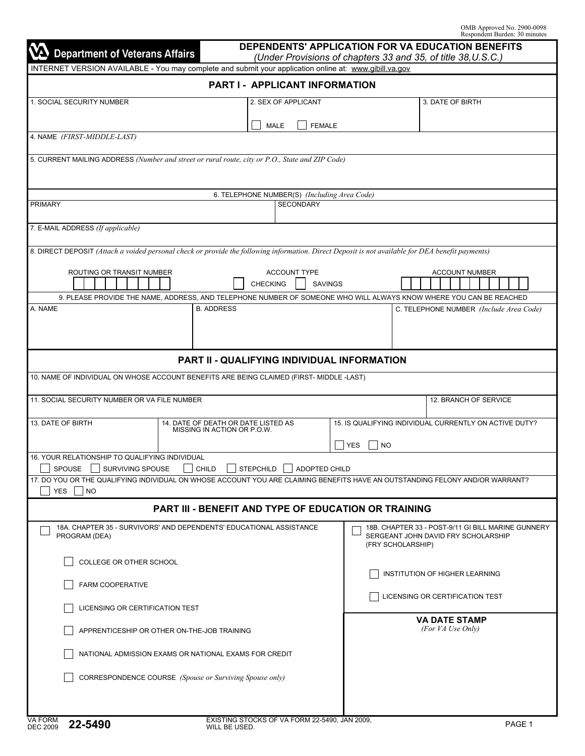| <b>VA</b> Department of Veterans Affairs                                                                                                          |                                                                    | DEPENDENTS' APPLICATION FOR VA EDUCATION BENEFITS<br>(Under Provisions of chapters 33 and 35, of title 38, U.S.C.) |                                                    |                                                        |                         |                                    |                                                    |  |  |  |  |
|---------------------------------------------------------------------------------------------------------------------------------------------------|--------------------------------------------------------------------|--------------------------------------------------------------------------------------------------------------------|----------------------------------------------------|--------------------------------------------------------|-------------------------|------------------------------------|----------------------------------------------------|--|--|--|--|
| INTERNET VERSION AVAILABLE - You may complete and submit your application online at: www.gibill.va.gov                                            |                                                                    |                                                                                                                    |                                                    |                                                        |                         |                                    |                                                    |  |  |  |  |
|                                                                                                                                                   |                                                                    |                                                                                                                    | PART I - APPLICANT INFORMATION                     |                                                        |                         |                                    |                                                    |  |  |  |  |
| 1. SOCIAL SECURITY NUMBER                                                                                                                         |                                                                    |                                                                                                                    | 2. SEX OF APPLICANT                                |                                                        |                         |                                    | 3. DATE OF BIRTH                                   |  |  |  |  |
|                                                                                                                                                   |                                                                    |                                                                                                                    | <b>FEMALE</b><br><b>MALE</b>                       |                                                        |                         |                                    |                                                    |  |  |  |  |
| 4. NAME (FIRST-MIDDLE-LAST)                                                                                                                       |                                                                    |                                                                                                                    |                                                    |                                                        |                         |                                    |                                                    |  |  |  |  |
| 5. CURRENT MAILING ADDRESS (Number and street or rural route, city or P.O., State and ZIP Code)                                                   |                                                                    |                                                                                                                    |                                                    |                                                        |                         |                                    |                                                    |  |  |  |  |
|                                                                                                                                                   |                                                                    |                                                                                                                    |                                                    |                                                        |                         |                                    |                                                    |  |  |  |  |
|                                                                                                                                                   |                                                                    |                                                                                                                    | 6. TELEPHONE NUMBER(S) (Including Area Code)       |                                                        |                         |                                    |                                                    |  |  |  |  |
| PRIMARY                                                                                                                                           |                                                                    |                                                                                                                    | <b>SECONDARY</b>                                   |                                                        |                         |                                    |                                                    |  |  |  |  |
| 7. E-MAIL ADDRESS (If applicable)                                                                                                                 |                                                                    |                                                                                                                    |                                                    |                                                        |                         |                                    |                                                    |  |  |  |  |
|                                                                                                                                                   |                                                                    |                                                                                                                    |                                                    |                                                        |                         |                                    |                                                    |  |  |  |  |
| 8. DIRECT DEPOSIT (Attach a voided personal check or provide the following information. Direct Deposit is not available for DEA benefit payments) |                                                                    |                                                                                                                    |                                                    |                                                        |                         |                                    |                                                    |  |  |  |  |
| ROUTING OR TRANSIT NUMBER                                                                                                                         |                                                                    |                                                                                                                    | <b>ACCOUNT TYPE</b>                                |                                                        |                         |                                    | <b>ACCOUNT NUMBER</b>                              |  |  |  |  |
|                                                                                                                                                   |                                                                    | <b>CHECKING</b>                                                                                                    |                                                    | <b>SAVINGS</b>                                         |                         |                                    |                                                    |  |  |  |  |
| 9. PLEASE PROVIDE THE NAME, ADDRESS, AND TELEPHONE NUMBER OF SOMEONE WHO WILL ALWAYS KNOW WHERE YOU CAN BE REACHED                                |                                                                    |                                                                                                                    |                                                    |                                                        |                         |                                    |                                                    |  |  |  |  |
| A. NAME                                                                                                                                           | <b>B. ADDRESS</b>                                                  |                                                                                                                    |                                                    |                                                        |                         |                                    | C. TELEPHONE NUMBER (Include Area Code)            |  |  |  |  |
|                                                                                                                                                   |                                                                    |                                                                                                                    |                                                    |                                                        |                         |                                    |                                                    |  |  |  |  |
|                                                                                                                                                   |                                                                    |                                                                                                                    |                                                    |                                                        |                         |                                    |                                                    |  |  |  |  |
|                                                                                                                                                   |                                                                    |                                                                                                                    | <b>PART II - QUALIFYING INDIVIDUAL INFORMATION</b> |                                                        |                         |                                    |                                                    |  |  |  |  |
| 10. NAME OF INDIVIDUAL ON WHOSE ACCOUNT BENEFITS ARE BEING CLAIMED (FIRST- MIDDLE -LAST)                                                          |                                                                    |                                                                                                                    |                                                    |                                                        |                         |                                    |                                                    |  |  |  |  |
| 11. SOCIAL SECURITY NUMBER OR VA FILE NUMBER                                                                                                      |                                                                    |                                                                                                                    |                                                    |                                                        |                         |                                    | 12. BRANCH OF SERVICE                              |  |  |  |  |
|                                                                                                                                                   |                                                                    |                                                                                                                    |                                                    |                                                        |                         |                                    |                                                    |  |  |  |  |
| 13. DATE OF BIRTH                                                                                                                                 | 14. DATE OF DEATH OR DATE LISTED AS<br>MISSING IN ACTION OR P.O.W. |                                                                                                                    |                                                    | 15. IS QUALIFYING INDIVIDUAL CURRENTLY ON ACTIVE DUTY? |                         |                                    |                                                    |  |  |  |  |
|                                                                                                                                                   |                                                                    |                                                                                                                    |                                                    |                                                        | <b>YES</b><br><b>NO</b> |                                    |                                                    |  |  |  |  |
| 16. YOUR RELATIONSHIP TO QUALIFYING INDIVIDUAL<br>SPOUSE SURVIVING SPOUSE                                                                         |                                                                    |                                                                                                                    |                                                    |                                                        |                         |                                    |                                                    |  |  |  |  |
| 17. DO YOU OR THE QUALIFYING INDIVIDUAL ON WHOSE ACCOUNT YOU ARE CLAIMING BENEFITS HAVE AN OUTSTANDING FELONY AND/OR WARRANT?                     |                                                                    |                                                                                                                    | $\Box$ CHILD $\Box$ STEPCHILD $\Box$ ADOPTED CHILD |                                                        |                         |                                    |                                                    |  |  |  |  |
| <b>YES</b><br> NO                                                                                                                                 |                                                                    |                                                                                                                    |                                                    |                                                        |                         |                                    |                                                    |  |  |  |  |
|                                                                                                                                                   | PART III - BENEFIT AND TYPE OF EDUCATION OR TRAINING               |                                                                                                                    |                                                    |                                                        |                         |                                    |                                                    |  |  |  |  |
| 18A. CHAPTER 35 - SURVIVORS' AND DEPENDENTS' EDUCATIONAL ASSISTANCE                                                                               |                                                                    |                                                                                                                    |                                                    |                                                        |                         |                                    | 18B. CHAPTER 33 - POST-9/11 GI BILL MARINE GUNNERY |  |  |  |  |
| PROGRAM (DEA)                                                                                                                                     |                                                                    |                                                                                                                    |                                                    |                                                        | (FRY SCHOLARSHIP)       |                                    | SERGEANT JOHN DAVID FRY SCHOLARSHIP                |  |  |  |  |
| COLLEGE OR OTHER SCHOOL                                                                                                                           |                                                                    |                                                                                                                    |                                                    |                                                        |                         |                                    |                                                    |  |  |  |  |
|                                                                                                                                                   |                                                                    |                                                                                                                    |                                                    | <b>INSTITUTION OF HIGHER LEARNING</b>                  |                         |                                    |                                                    |  |  |  |  |
| <b>FARM COOPERATIVE</b>                                                                                                                           |                                                                    |                                                                                                                    | LICENSING OR CERTIFICATION TEST                    |                                                        |                         |                                    |                                                    |  |  |  |  |
| LICENSING OR CERTIFICATION TEST                                                                                                                   |                                                                    |                                                                                                                    |                                                    |                                                        |                         |                                    |                                                    |  |  |  |  |
| APPRENTICESHIP OR OTHER ON-THE-JOB TRAINING                                                                                                       |                                                                    |                                                                                                                    |                                                    |                                                        |                         | VA DATE STAMP<br>(For VA Use Only) |                                                    |  |  |  |  |
| NATIONAL ADMISSION EXAMS OR NATIONAL EXAMS FOR CREDIT                                                                                             |                                                                    |                                                                                                                    |                                                    |                                                        |                         |                                    |                                                    |  |  |  |  |
| CORRESPONDENCE COURSE (Spouse or Surviving Spouse only)                                                                                           |                                                                    |                                                                                                                    |                                                    |                                                        |                         |                                    |                                                    |  |  |  |  |
|                                                                                                                                                   |                                                                    |                                                                                                                    |                                                    |                                                        |                         |                                    |                                                    |  |  |  |  |
|                                                                                                                                                   |                                                                    |                                                                                                                    |                                                    |                                                        |                         |                                    |                                                    |  |  |  |  |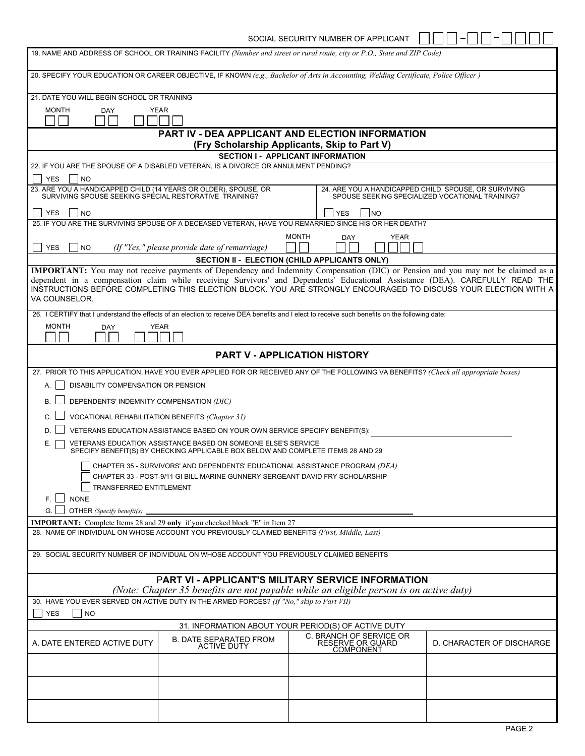SOCIAL SECURITY NUMBER OF APPLICANT  $\Box \Box \Box \Box \Box \Box \Box$ 

|                                                                                                                           |                                                                                                                                                                                      | 19. NAME AND ADDRESS OF SCHOOL OR TRAINING FACILITY (Number and street or rural route, city or P.O., State and ZIP Code)                                                                                                                         |                                                                                                          |  |  |  |  |  |  |
|---------------------------------------------------------------------------------------------------------------------------|--------------------------------------------------------------------------------------------------------------------------------------------------------------------------------------|--------------------------------------------------------------------------------------------------------------------------------------------------------------------------------------------------------------------------------------------------|----------------------------------------------------------------------------------------------------------|--|--|--|--|--|--|
|                                                                                                                           |                                                                                                                                                                                      | 20. SPECIFY YOUR EDUCATION OR CAREER OBJECTIVE, IF KNOWN (e.g., Bachelor of Arts in Accounting, Welding Certificate, Police Officer)                                                                                                             |                                                                                                          |  |  |  |  |  |  |
| 21. DATE YOU WILL BEGIN SCHOOL OR TRAINING                                                                                |                                                                                                                                                                                      |                                                                                                                                                                                                                                                  |                                                                                                          |  |  |  |  |  |  |
| <b>MONTH</b><br><b>DAY</b>                                                                                                | <b>YEAR</b>                                                                                                                                                                          |                                                                                                                                                                                                                                                  |                                                                                                          |  |  |  |  |  |  |
|                                                                                                                           |                                                                                                                                                                                      | <b>PART IV - DEA APPLICANT AND ELECTION INFORMATION</b><br>(Fry Scholarship Applicants, Skip to Part V)                                                                                                                                          |                                                                                                          |  |  |  |  |  |  |
|                                                                                                                           |                                                                                                                                                                                      | <b>SECTION I - APPLICANT INFORMATION</b>                                                                                                                                                                                                         |                                                                                                          |  |  |  |  |  |  |
|                                                                                                                           | 22. IF YOU ARE THE SPOUSE OF A DISABLED VETERAN. IS A DIVORCE OR ANNULMENT PENDING?                                                                                                  |                                                                                                                                                                                                                                                  |                                                                                                          |  |  |  |  |  |  |
| <b>YES</b><br> NO                                                                                                         |                                                                                                                                                                                      |                                                                                                                                                                                                                                                  |                                                                                                          |  |  |  |  |  |  |
| 23. ARE YOU A HANDICAPPED CHILD (14 YEARS OR OLDER), SPOUSE, OR<br>SURVIVING SPOUSE SEEKING SPECIAL RESTORATIVE TRAINING? |                                                                                                                                                                                      |                                                                                                                                                                                                                                                  | 24. ARE YOU A HANDICAPPED CHILD, SPOUSE, OR SURVIVING<br>SPOUSE SEEKING SPECIALIZED VOCATIONAL TRAINING? |  |  |  |  |  |  |
| <b>YES</b><br><b>NO</b>                                                                                                   |                                                                                                                                                                                      | <b>YES</b><br>INO                                                                                                                                                                                                                                |                                                                                                          |  |  |  |  |  |  |
|                                                                                                                           |                                                                                                                                                                                      | 25. IF YOU ARE THE SURVIVING SPOUSE OF A DECEASED VETERAN, HAVE YOU REMARRIED SINCE HIS OR HER DEATH?                                                                                                                                            |                                                                                                          |  |  |  |  |  |  |
| <b>YES</b><br><b>NO</b>                                                                                                   | (If "Yes," please provide date of remarriage)                                                                                                                                        | <b>MONTH</b><br><b>YEAR</b><br><b>DAY</b>                                                                                                                                                                                                        |                                                                                                          |  |  |  |  |  |  |
|                                                                                                                           |                                                                                                                                                                                      | SECTION II - ELECTION (CHILD APPLICANTS ONLY)                                                                                                                                                                                                    |                                                                                                          |  |  |  |  |  |  |
|                                                                                                                           |                                                                                                                                                                                      | IMPORTANT: You may not receive payments of Dependency and Indemnity Compensation (DIC) or Pension and you may not be claimed as a                                                                                                                |                                                                                                          |  |  |  |  |  |  |
| VA COUNSELOR.                                                                                                             |                                                                                                                                                                                      | dependent in a compensation claim while receiving Survivors' and Dependents' Educational Assistance (DEA). CAREFULLY READ THE<br>INSTRUCTIONS BEFORE COMPLETING THIS ELECTION BLOCK. YOU ARE STRONGLY ENCOURAGED TO DISCUSS YOUR ELECTION WITH A |                                                                                                          |  |  |  |  |  |  |
|                                                                                                                           |                                                                                                                                                                                      | 26. I CERTIFY that I understand the effects of an election to receive DEA benefits and I elect to receive such benefits on the following date:                                                                                                   |                                                                                                          |  |  |  |  |  |  |
| <b>MONTH</b><br><b>DAY</b>                                                                                                | <b>YEAR</b>                                                                                                                                                                          |                                                                                                                                                                                                                                                  |                                                                                                          |  |  |  |  |  |  |
|                                                                                                                           |                                                                                                                                                                                      |                                                                                                                                                                                                                                                  |                                                                                                          |  |  |  |  |  |  |
|                                                                                                                           |                                                                                                                                                                                      | <b>PART V - APPLICATION HISTORY</b>                                                                                                                                                                                                              |                                                                                                          |  |  |  |  |  |  |
|                                                                                                                           |                                                                                                                                                                                      | 27. PRIOR TO THIS APPLICATION, HAVE YOU EVER APPLIED FOR OR RECEIVED ANY OF THE FOLLOWING VA BENEFITS? (Check all appropriate boxes)                                                                                                             |                                                                                                          |  |  |  |  |  |  |
| DISABILITY COMPENSATION OR PENSION<br>А.                                                                                  |                                                                                                                                                                                      |                                                                                                                                                                                                                                                  |                                                                                                          |  |  |  |  |  |  |
| DEPENDENTS' INDEMNITY COMPENSATION (DIC)<br>В.                                                                            |                                                                                                                                                                                      |                                                                                                                                                                                                                                                  |                                                                                                          |  |  |  |  |  |  |
|                                                                                                                           | VOCATIONAL REHABILITATION BENEFITS (Chapter 31)                                                                                                                                      |                                                                                                                                                                                                                                                  |                                                                                                          |  |  |  |  |  |  |
| D.                                                                                                                        | VETERANS EDUCATION ASSISTANCE BASED ON YOUR OWN SERVICE SPECIFY BENEFIT(S):                                                                                                          |                                                                                                                                                                                                                                                  |                                                                                                          |  |  |  |  |  |  |
| Е.                                                                                                                        | VETERANS EDUCATION ASSISTANCE BASED ON SOMEONE ELSE'S SERVICE<br>SPECIFY BENEFIT(S) BY CHECKING APPLICABLE BOX BELOW AND COMPLETE ITEMS 28 AND 29                                    |                                                                                                                                                                                                                                                  |                                                                                                          |  |  |  |  |  |  |
|                                                                                                                           | CHAPTER 35 - SURVIVORS' AND DEPENDENTS' EDUCATIONAL ASSISTANCE PROGRAM (DEA)                                                                                                         |                                                                                                                                                                                                                                                  |                                                                                                          |  |  |  |  |  |  |
|                                                                                                                           | CHAPTER 33 - POST-9/11 GI BILL MARINE GUNNERY SERGEANT DAVID FRY SCHOLARSHIP                                                                                                         |                                                                                                                                                                                                                                                  |                                                                                                          |  |  |  |  |  |  |
| TRANSFERRED ENTITLEMENT                                                                                                   |                                                                                                                                                                                      |                                                                                                                                                                                                                                                  |                                                                                                          |  |  |  |  |  |  |
| F. L l<br><b>NONE</b>                                                                                                     |                                                                                                                                                                                      |                                                                                                                                                                                                                                                  |                                                                                                          |  |  |  |  |  |  |
| G. I<br>OTHER (Specify benefit(s)                                                                                         |                                                                                                                                                                                      |                                                                                                                                                                                                                                                  |                                                                                                          |  |  |  |  |  |  |
|                                                                                                                           | <b>IMPORTANT:</b> Complete Items 28 and 29 only if you checked block "E" in Item 27<br>28. NAME OF INDIVIDUAL ON WHOSE ACCOUNT YOU PREVIOUSLY CLAIMED BENEFITS (First, Middle, Last) |                                                                                                                                                                                                                                                  |                                                                                                          |  |  |  |  |  |  |
|                                                                                                                           |                                                                                                                                                                                      |                                                                                                                                                                                                                                                  |                                                                                                          |  |  |  |  |  |  |
|                                                                                                                           | 29. SOCIAL SECURITY NUMBER OF INDIVIDUAL ON WHOSE ACCOUNT YOU PREVIOUSLY CLAIMED BENEFITS                                                                                            |                                                                                                                                                                                                                                                  |                                                                                                          |  |  |  |  |  |  |
|                                                                                                                           |                                                                                                                                                                                      | <b>PART VI - APPLICANT'S MILITARY SERVICE INFORMATION</b><br>(Note: Chapter 35 benefits are not payable while an eligible person is on active duty)                                                                                              |                                                                                                          |  |  |  |  |  |  |
| 30. HAVE YOU EVER SERVED ON ACTIVE DUTY IN THE ARMED FORCES? (If "No," skip to Part VII)                                  |                                                                                                                                                                                      |                                                                                                                                                                                                                                                  |                                                                                                          |  |  |  |  |  |  |
| <b>YES</b><br><b>NO</b>                                                                                                   |                                                                                                                                                                                      |                                                                                                                                                                                                                                                  |                                                                                                          |  |  |  |  |  |  |
|                                                                                                                           |                                                                                                                                                                                      | 31. INFORMATION ABOUT YOUR PERIOD(S) OF ACTIVE DUTY                                                                                                                                                                                              |                                                                                                          |  |  |  |  |  |  |
| A. DATE ENTERED ACTIVE DUTY                                                                                               | B. DATE SEPARATED FROM<br>ACTIVE DUTY                                                                                                                                                | C. BRANCH OF SERVICE OR<br>RESERVE OR GUARD<br>COMPONENT                                                                                                                                                                                         | D. CHARACTER OF DISCHARGE                                                                                |  |  |  |  |  |  |
|                                                                                                                           |                                                                                                                                                                                      |                                                                                                                                                                                                                                                  |                                                                                                          |  |  |  |  |  |  |
|                                                                                                                           |                                                                                                                                                                                      |                                                                                                                                                                                                                                                  |                                                                                                          |  |  |  |  |  |  |
|                                                                                                                           |                                                                                                                                                                                      |                                                                                                                                                                                                                                                  |                                                                                                          |  |  |  |  |  |  |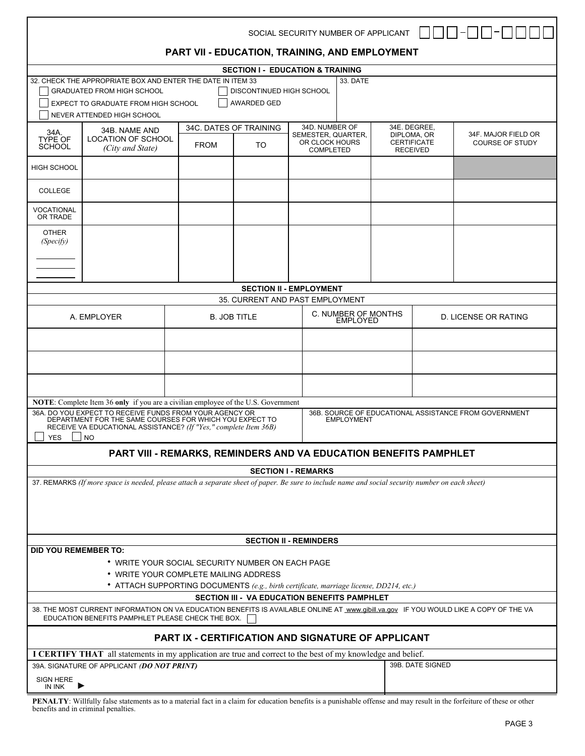|                                                                         |                                                                                                                                                                                            |                                                                                        |                                              | SOCIAL SECURITY NUMBER OF APPLICANT  |                                        |                 |                                   |                                                       |  |
|-------------------------------------------------------------------------|--------------------------------------------------------------------------------------------------------------------------------------------------------------------------------------------|----------------------------------------------------------------------------------------|----------------------------------------------|--------------------------------------|----------------------------------------|-----------------|-----------------------------------|-------------------------------------------------------|--|
|                                                                         |                                                                                                                                                                                            | PART VII - EDUCATION, TRAINING, AND EMPLOYMENT                                         |                                              |                                      |                                        |                 |                                   |                                                       |  |
|                                                                         |                                                                                                                                                                                            |                                                                                        | <b>SECTION I - EDUCATION &amp; TRAINING</b>  |                                      |                                        |                 |                                   |                                                       |  |
| 32. CHECK THE APPROPRIATE BOX AND ENTER THE DATE IN ITEM 33             |                                                                                                                                                                                            |                                                                                        |                                              | 33. DATE                             |                                        |                 |                                   |                                                       |  |
|                                                                         | <b>GRADUATED FROM HIGH SCHOOL</b>                                                                                                                                                          |                                                                                        | DISCONTINUED HIGH SCHOOL                     |                                      |                                        |                 |                                   |                                                       |  |
|                                                                         | EXPECT TO GRADUATE FROM HIGH SCHOOL                                                                                                                                                        |                                                                                        | AWARDED GED                                  |                                      |                                        |                 |                                   |                                                       |  |
|                                                                         | NEVER ATTENDED HIGH SCHOOL                                                                                                                                                                 |                                                                                        |                                              |                                      |                                        |                 |                                   |                                                       |  |
| 34B. NAME AND<br>34A.<br>LOCATION OF SCHOOL<br>TYPE OF<br><b>SCHOOL</b> |                                                                                                                                                                                            | 34C. DATES OF TRAINING                                                                 |                                              |                                      | 34D. NUMBER OF                         |                 | 34E. DEGREE,                      | 34F. MAJOR FIELD OR                                   |  |
|                                                                         |                                                                                                                                                                                            | <b>FROM</b>                                                                            | TO.                                          | SEMESTER, QUARTER.<br>OR CLOCK HOURS |                                        |                 | DIPLOMA, OR<br><b>CERTIFICATE</b> | COURSE OF STUDY                                       |  |
|                                                                         | (City and State)                                                                                                                                                                           |                                                                                        |                                              | <b>COMPLETED</b>                     |                                        | <b>RECEIVED</b> |                                   |                                                       |  |
| <b>HIGH SCHOOL</b>                                                      |                                                                                                                                                                                            |                                                                                        |                                              |                                      |                                        |                 |                                   |                                                       |  |
| <b>COLLEGE</b>                                                          |                                                                                                                                                                                            |                                                                                        |                                              |                                      |                                        |                 |                                   |                                                       |  |
| VOCATIONAL<br>OR TRADE                                                  |                                                                                                                                                                                            |                                                                                        |                                              |                                      |                                        |                 |                                   |                                                       |  |
| <b>OTHER</b>                                                            |                                                                                                                                                                                            |                                                                                        |                                              |                                      |                                        |                 |                                   |                                                       |  |
| (Specify)                                                               |                                                                                                                                                                                            |                                                                                        |                                              |                                      |                                        |                 |                                   |                                                       |  |
|                                                                         |                                                                                                                                                                                            |                                                                                        |                                              |                                      |                                        |                 |                                   |                                                       |  |
|                                                                         |                                                                                                                                                                                            |                                                                                        |                                              |                                      |                                        |                 |                                   |                                                       |  |
|                                                                         |                                                                                                                                                                                            |                                                                                        |                                              |                                      |                                        |                 |                                   |                                                       |  |
|                                                                         |                                                                                                                                                                                            |                                                                                        |                                              | <b>SECTION II - EMPLOYMENT</b>       |                                        |                 |                                   |                                                       |  |
|                                                                         |                                                                                                                                                                                            |                                                                                        | 35. CURRENT AND PAST EMPLOYMENT              |                                      |                                        |                 |                                   |                                                       |  |
|                                                                         | A. EMPLOYER                                                                                                                                                                                | <b>B. JOB TITLE</b>                                                                    |                                              |                                      | C. NUMBER OF MONTHS<br><b>EMPLOYED</b> |                 |                                   | <b>D. LICENSE OR RATING</b>                           |  |
|                                                                         |                                                                                                                                                                                            |                                                                                        |                                              |                                      |                                        |                 |                                   |                                                       |  |
|                                                                         |                                                                                                                                                                                            |                                                                                        |                                              |                                      |                                        |                 |                                   |                                                       |  |
|                                                                         |                                                                                                                                                                                            |                                                                                        |                                              |                                      |                                        |                 |                                   |                                                       |  |
|                                                                         |                                                                                                                                                                                            |                                                                                        |                                              |                                      |                                        |                 |                                   |                                                       |  |
|                                                                         |                                                                                                                                                                                            |                                                                                        |                                              |                                      |                                        |                 |                                   |                                                       |  |
|                                                                         |                                                                                                                                                                                            |                                                                                        |                                              |                                      |                                        |                 |                                   |                                                       |  |
|                                                                         | NOTE: Complete Item 36 only if you are a civilian employee of the U.S. Government                                                                                                          |                                                                                        |                                              |                                      |                                        |                 |                                   |                                                       |  |
|                                                                         | 36A, DO YOU EXPECT TO RECEIVE FUNDS FROM YOUR AGENCY OR                                                                                                                                    |                                                                                        |                                              |                                      | <b>EMPLOYMENT</b>                      |                 |                                   | 36B. SOURCE OF EDUCATIONAL ASSISTANCE FROM GOVERNMENT |  |
|                                                                         | DEPARTMENT FOR THE SAME COURSES FOR WHICH YOU EXPECT TO<br>RECEIVE VA EDUCATIONAL ASSISTANCE? (If "Yes," complete Item 36B)                                                                |                                                                                        |                                              |                                      |                                        |                 |                                   |                                                       |  |
| <b>YES</b>                                                              | <b>NO</b>                                                                                                                                                                                  |                                                                                        |                                              |                                      |                                        |                 |                                   |                                                       |  |
|                                                                         |                                                                                                                                                                                            | PART VIII - REMARKS, REMINDERS AND VA EDUCATION BENEFITS PAMPHLET                      |                                              |                                      |                                        |                 |                                   |                                                       |  |
|                                                                         |                                                                                                                                                                                            |                                                                                        |                                              |                                      |                                        |                 |                                   |                                                       |  |
|                                                                         |                                                                                                                                                                                            |                                                                                        |                                              | <b>SECTION I - REMARKS</b>           |                                        |                 |                                   |                                                       |  |
|                                                                         | 37. REMARKS (If more space is needed, please attach a separate sheet of paper. Be sure to include name and social security number on each sheet)                                           |                                                                                        |                                              |                                      |                                        |                 |                                   |                                                       |  |
|                                                                         |                                                                                                                                                                                            |                                                                                        |                                              |                                      |                                        |                 |                                   |                                                       |  |
|                                                                         |                                                                                                                                                                                            |                                                                                        |                                              |                                      |                                        |                 |                                   |                                                       |  |
|                                                                         |                                                                                                                                                                                            |                                                                                        |                                              |                                      |                                        |                 |                                   |                                                       |  |
|                                                                         |                                                                                                                                                                                            |                                                                                        |                                              | <b>SECTION II - REMINDERS</b>        |                                        |                 |                                   |                                                       |  |
| <b>DID YOU REMEMBER TO:</b>                                             |                                                                                                                                                                                            |                                                                                        |                                              |                                      |                                        |                 |                                   |                                                       |  |
|                                                                         |                                                                                                                                                                                            | * WRITE YOUR SOCIAL SECURITY NUMBER ON EACH PAGE                                       |                                              |                                      |                                        |                 |                                   |                                                       |  |
|                                                                         |                                                                                                                                                                                            | • WRITE YOUR COMPLETE MAILING ADDRESS                                                  |                                              |                                      |                                        |                 |                                   |                                                       |  |
|                                                                         |                                                                                                                                                                                            | • ATTACH SUPPORTING DOCUMENTS (e.g., birth certificate, marriage license, DD214, etc.) |                                              |                                      |                                        |                 |                                   |                                                       |  |
|                                                                         |                                                                                                                                                                                            |                                                                                        | SECTION III - VA EDUCATION BENEFITS PAMPHLET |                                      |                                        |                 |                                   |                                                       |  |
|                                                                         | 38. THE MOST CURRENT INFORMATION ON VA EDUCATION BENEFITS IS AVAILABLE ONLINE AT www.gibill.va.gov IF YOU WOULD LIKE A COPY OF THE VA<br>EDUCATION BENEFITS PAMPHLET PLEASE CHECK THE BOX. |                                                                                        |                                              |                                      |                                        |                 |                                   |                                                       |  |
|                                                                         |                                                                                                                                                                                            | <b>PART IX - CERTIFICATION AND SIGNATURE OF APPLICANT</b>                              |                                              |                                      |                                        |                 |                                   |                                                       |  |
|                                                                         | <b>I CERTIFY THAT</b> all statements in my application are true and correct to the best of my knowledge and belief.                                                                        |                                                                                        |                                              |                                      |                                        |                 |                                   |                                                       |  |
|                                                                         | 39A. SIGNATURE OF APPLICANT (DO NOT PRINT)                                                                                                                                                 |                                                                                        |                                              |                                      |                                        |                 | 39B. DATE SIGNED                  |                                                       |  |
| SIGN HERE<br>IN INK                                                     |                                                                                                                                                                                            |                                                                                        |                                              |                                      |                                        |                 |                                   |                                                       |  |

**PENALTY**: Willfully false statements as to a material fact in a claim for education benefits is a punishable offense and may result in the forfeiture of these or other benefits and in criminal penalties.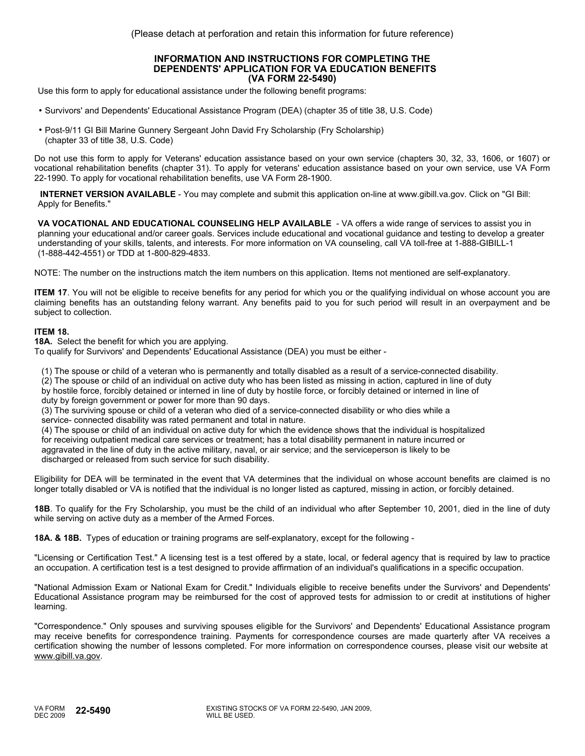### **INFORMATION AND INSTRUCTIONS FOR COMPLETING THE DEPENDENTS' APPLICATION FOR VA EDUCATION BENEFITS (VA FORM 22-5490)**

Use this form to apply for educational assistance under the following benefit programs:

- Survivors' and Dependents' Educational Assistance Program (DEA) (chapter 35 of title 38, U.S. Code)
- Post-9/11 GI Bill Marine Gunnery Sergeant John David Fry Scholarship (Fry Scholarship) (chapter 33 of title 38, U.S. Code)

Do not use this form to apply for Veterans' education assistance based on your own service (chapters 30, 32, 33, 1606, or 1607) or vocational rehabilitation benefits (chapter 31). To apply for veterans' education assistance based on your own service, use VA Form 22-1990. To apply for vocational rehabilitation benefits, use VA Form 28-1900.

**INTERNET VERSION AVAILABLE** - You may complete and submit this application on-line at www.gibill.va.gov. Click on "GI Bill: Apply for Benefits."

**VA VOCATIONAL AND EDUCATIONAL COUNSELING HELP AVAILABLE** - VA offers a wide range of services to assist you in planning your educational and/or career goals. Services include educational and vocational guidance and testing to develop a greater understanding of your skills, talents, and interests. For more information on VA counseling, call VA toll-free at 1-888-GIBILL-1 (1-888-442-4551) or TDD at 1-800-829-4833.

NOTE: The number on the instructions match the item numbers on this application. Items not mentioned are self-explanatory.

**ITEM 17**. You will not be eligible to receive benefits for any period for which you or the qualifying individual on whose account you are claiming benefits has an outstanding felony warrant. Any benefits paid to you for such period will result in an overpayment and be subject to collection.

## **ITEM 18.**

**18A.** Select the benefit for which you are applying.

To qualify for Survivors' and Dependents' Educational Assistance (DEA) you must be either -

(1) The spouse or child of a veteran who is permanently and totally disabled as a result of a service-connected disability.

(2) The spouse or child of an individual on active duty who has been listed as missing in action, captured in line of duty

 by hostile force, forcibly detained or interned in line of duty by hostile force, or forcibly detained or interned in line of duty by foreign government or power for more than 90 days.

 (3) The surviving spouse or child of a veteran who died of a service-connected disability or who dies while a service- connected disability was rated permanent and total in nature.

 (4) The spouse or child of an individual on active duty for which the evidence shows that the individual is hospitalized for receiving outpatient medical care services or treatment; has a total disability permanent in nature incurred or aggravated in the line of duty in the active military, naval, or air service; and the serviceperson is likely to be discharged or released from such service for such disability.

Eligibility for DEA will be terminated in the event that VA determines that the individual on whose account benefits are claimed is no longer totally disabled or VA is notified that the individual is no longer listed as captured, missing in action, or forcibly detained.

**18B**. To qualify for the Fry Scholarship, you must be the child of an individual who after September 10, 2001, died in the line of duty while serving on active duty as a member of the Armed Forces.

**18A. & 18B.** Types of education or training programs are self-explanatory, except for the following -

"Licensing or Certification Test." A licensing test is a test offered by a state, local, or federal agency that is required by law to practice an occupation. A certification test is a test designed to provide affirmation of an individual's qualifications in a specific occupation.

"National Admission Exam or National Exam for Credit." Individuals eligible to receive benefits under the Survivors' and Dependents' Educational Assistance program may be reimbursed for the cost of approved tests for admission to or credit at institutions of higher learning.

"Correspondence." Only spouses and surviving spouses eligible for the Survivors' and Dependents' Educational Assistance program may receive benefits for correspondence training. Payments for correspondence courses are made quarterly after VA receives a certification showing the number of lessons completed. For more information on correspondence courses, please visit our website at www.gibill.va.gov.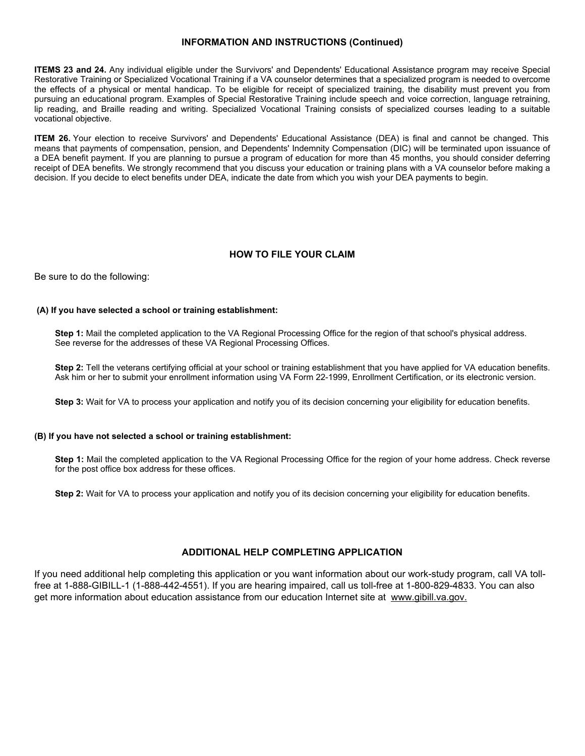# **INFORMATION AND INSTRUCTIONS (Continued)**

**ITEMS 23 and 24.** Any individual eligible under the Survivors' and Dependents' Educational Assistance program may receive Special Restorative Training or Specialized Vocational Training if a VA counselor determines that a specialized program is needed to overcome the effects of a physical or mental handicap. To be eligible for receipt of specialized training, the disability must prevent you from pursuing an educational program. Examples of Special Restorative Training include speech and voice correction, language retraining, lip reading, and Braille reading and writing. Specialized Vocational Training consists of specialized courses leading to a suitable vocational objective.

**ITEM 26.** Your election to receive Survivors' and Dependents' Educational Assistance (DEA) is final and cannot be changed. This means that payments of compensation, pension, and Dependents' Indemnity Compensation (DIC) will be terminated upon issuance of a DEA benefit payment. If you are planning to pursue a program of education for more than 45 months, you should consider deferring receipt of DEA benefits. We strongly recommend that you discuss your education or training plans with a VA counselor before making a decision. If you decide to elect benefits under DEA, indicate the date from which you wish your DEA payments to begin.

# **HOW TO FILE YOUR CLAIM**

Be sure to do the following:

## **(A) If you have selected a school or training establishment:**

**Step 1:** Mail the completed application to the VA Regional Processing Office for the region of that school's physical address. See reverse for the addresses of these VA Regional Processing Offices.

**Step 2:** Tell the veterans certifying official at your school or training establishment that you have applied for VA education benefits. Ask him or her to submit your enrollment information using VA Form 22-1999, Enrollment Certification, or its electronic version.

**Step 3:** Wait for VA to process your application and notify you of its decision concerning your eligibility for education benefits.

### **(B) If you have not selected a school or training establishment:**

**Step 1:** Mail the completed application to the VA Regional Processing Office for the region of your home address. Check reverse for the post office box address for these offices.

**Step 2:** Wait for VA to process your application and notify you of its decision concerning your eligibility for education benefits.

## **ADDITIONAL HELP COMPLETING APPLICATION**

If you need additional help completing this application or you want information about our work-study program, call VA tollfree at 1-888-GIBILL-1 (1-888-442-4551). If you are hearing impaired, call us toll-free at 1-800-829-4833. You can also get more information about education assistance from our education Internet site at www.gibill.va.gov.